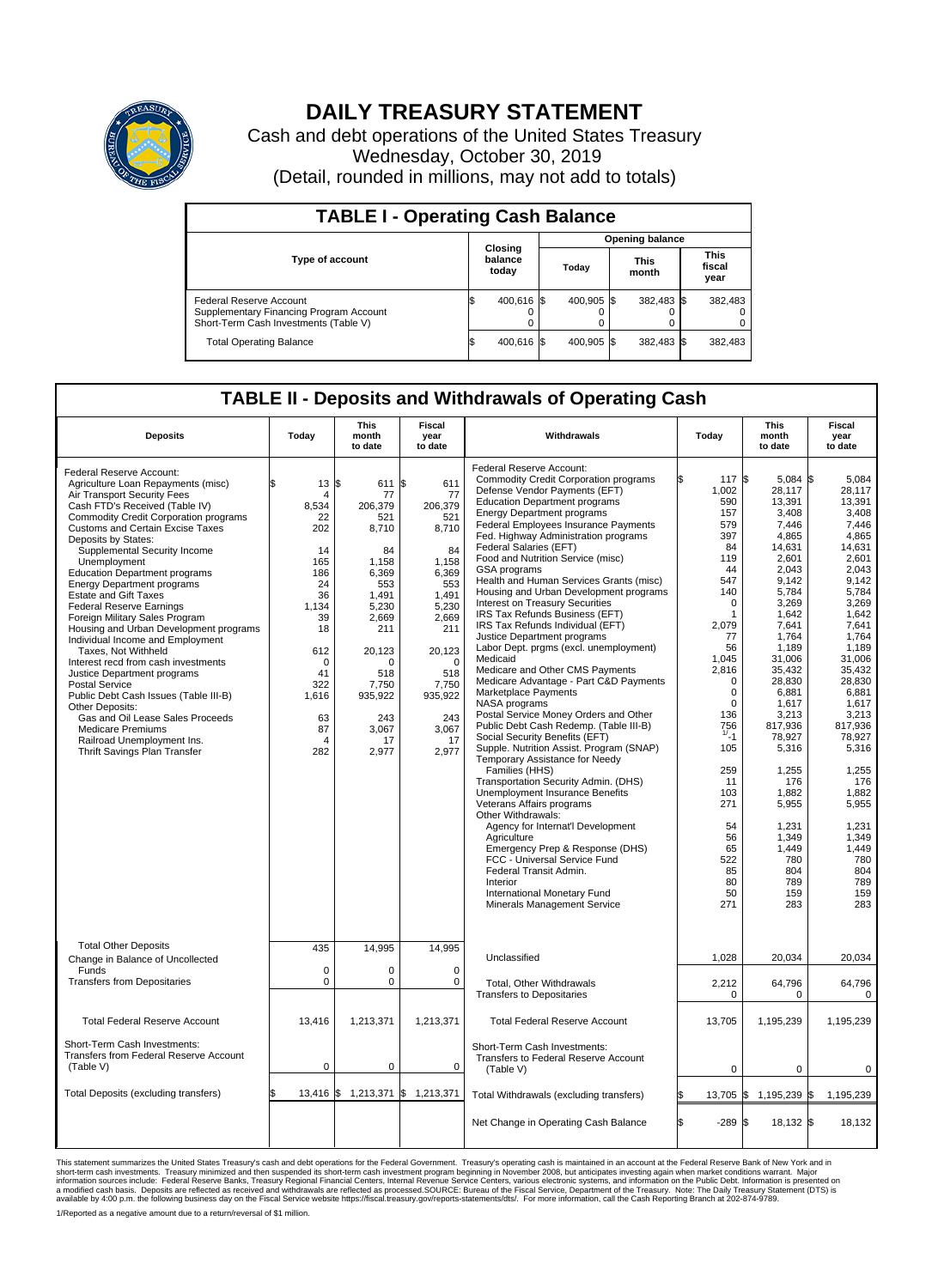

## **DAILY TREASURY STATEMENT**

Cash and debt operations of the United States Treasury Wednesday, October 30, 2019 (Detail, rounded in millions, may not add to totals)

| <b>TABLE I - Operating Cash Balance</b>                                                                     |     |                             |  |                        |  |                      |  |                               |  |  |  |
|-------------------------------------------------------------------------------------------------------------|-----|-----------------------------|--|------------------------|--|----------------------|--|-------------------------------|--|--|--|
|                                                                                                             |     |                             |  | <b>Opening balance</b> |  |                      |  |                               |  |  |  |
| <b>Type of account</b>                                                                                      |     | Closing<br>balance<br>today |  | Today                  |  | <b>This</b><br>month |  | <b>This</b><br>fiscal<br>year |  |  |  |
| Federal Reserve Account<br>Supplementary Financing Program Account<br>Short-Term Cash Investments (Table V) |     | 400,616 \$                  |  | 400.905 \$             |  | 382,483 \$           |  | 382,483                       |  |  |  |
| <b>Total Operating Balance</b>                                                                              | I\$ | 400,616 \$                  |  | 400,905 \$             |  | 382,483 \$           |  | 382,483                       |  |  |  |

## **TABLE II - Deposits and Withdrawals of Operating Cash**

| <b>Deposits</b>                                                                                                                                                                                                                                                                                                                                                                                                                                                                                                                                                                                                                                                                                                                                                                                                                                                                   | Today                                                                                                                                                                        | <b>This</b><br>month<br>to date                                                                                                                                                   | <b>Fiscal</b><br>year<br>to date                                                                                                                                                         | Withdrawals                                                                                                                                                                                                                                                                                                                                                                                                                                                                                                                                                                                                                                                                                                                                                                                                                                                                                                                                                                                                                                                                                                                                                                                                                                                                                                                                                | Today                                                                                                                                                                                                                                                                                          | <b>This</b><br>month<br>to date                                                                                                                                                                                                                                                                                                        | <b>Fiscal</b><br>year<br>to date                                                                                                                                                                                                                                                                                                              |  |  |
|-----------------------------------------------------------------------------------------------------------------------------------------------------------------------------------------------------------------------------------------------------------------------------------------------------------------------------------------------------------------------------------------------------------------------------------------------------------------------------------------------------------------------------------------------------------------------------------------------------------------------------------------------------------------------------------------------------------------------------------------------------------------------------------------------------------------------------------------------------------------------------------|------------------------------------------------------------------------------------------------------------------------------------------------------------------------------|-----------------------------------------------------------------------------------------------------------------------------------------------------------------------------------|------------------------------------------------------------------------------------------------------------------------------------------------------------------------------------------|------------------------------------------------------------------------------------------------------------------------------------------------------------------------------------------------------------------------------------------------------------------------------------------------------------------------------------------------------------------------------------------------------------------------------------------------------------------------------------------------------------------------------------------------------------------------------------------------------------------------------------------------------------------------------------------------------------------------------------------------------------------------------------------------------------------------------------------------------------------------------------------------------------------------------------------------------------------------------------------------------------------------------------------------------------------------------------------------------------------------------------------------------------------------------------------------------------------------------------------------------------------------------------------------------------------------------------------------------------|------------------------------------------------------------------------------------------------------------------------------------------------------------------------------------------------------------------------------------------------------------------------------------------------|----------------------------------------------------------------------------------------------------------------------------------------------------------------------------------------------------------------------------------------------------------------------------------------------------------------------------------------|-----------------------------------------------------------------------------------------------------------------------------------------------------------------------------------------------------------------------------------------------------------------------------------------------------------------------------------------------|--|--|
| Federal Reserve Account:<br>Agriculture Loan Repayments (misc)<br>Air Transport Security Fees<br>Cash FTD's Received (Table IV)<br><b>Commodity Credit Corporation programs</b><br><b>Customs and Certain Excise Taxes</b><br>Deposits by States:<br>Supplemental Security Income<br>Unemployment<br><b>Education Department programs</b><br><b>Energy Department programs</b><br><b>Estate and Gift Taxes</b><br><b>Federal Reserve Earnings</b><br>Foreign Military Sales Program<br>Housing and Urban Development programs<br>Individual Income and Employment<br>Taxes. Not Withheld<br>Interest recd from cash investments<br>Justice Department programs<br><b>Postal Service</b><br>Public Debt Cash Issues (Table III-B)<br>Other Deposits:<br>Gas and Oil Lease Sales Proceeds<br><b>Medicare Premiums</b><br>Railroad Unemployment Ins.<br>Thrift Savings Plan Transfer | $13 \text{ }$ \$<br>ፍ<br>$\overline{4}$<br>8,534<br>22<br>202<br>14<br>165<br>186<br>24<br>36<br>1.134<br>39<br>18<br>612<br>0<br>41<br>322<br>1,616<br>63<br>87<br>4<br>282 | 611 \$<br>77<br>206,379<br>521<br>8,710<br>84<br>1.158<br>6,369<br>553<br>1,491<br>5.230<br>2,669<br>211<br>20,123<br>0<br>518<br>7,750<br>935,922<br>243<br>3,067<br>17<br>2,977 | 611<br>77<br>206,379<br>521<br>8,710<br>84<br>1.158<br>6,369<br>553<br>1,491<br>5,230<br>2,669<br>211<br>20,123<br>$\mathbf 0$<br>518<br>7,750<br>935,922<br>243<br>3,067<br>17<br>2,977 | Federal Reserve Account:<br><b>Commodity Credit Corporation programs</b><br>Defense Vendor Payments (EFT)<br><b>Education Department programs</b><br><b>Energy Department programs</b><br><b>Federal Employees Insurance Payments</b><br>Fed. Highway Administration programs<br>Federal Salaries (EFT)<br>Food and Nutrition Service (misc)<br><b>GSA</b> programs<br>Health and Human Services Grants (misc)<br>Housing and Urban Development programs<br>Interest on Treasury Securities<br>IRS Tax Refunds Business (EFT)<br>IRS Tax Refunds Individual (EFT)<br>Justice Department programs<br>Labor Dept. prgms (excl. unemployment)<br>Medicaid<br>Medicare and Other CMS Payments<br>Medicare Advantage - Part C&D Payments<br>Marketplace Payments<br>NASA programs<br>Postal Service Money Orders and Other<br>Public Debt Cash Redemp. (Table III-B)<br>Social Security Benefits (EFT)<br>Supple. Nutrition Assist. Program (SNAP)<br>Temporary Assistance for Needy<br>Families (HHS)<br>Transportation Security Admin. (DHS)<br>Unemployment Insurance Benefits<br>Veterans Affairs programs<br>Other Withdrawals:<br>Agency for Internat'l Development<br>Agriculture<br>Emergency Prep & Response (DHS)<br>FCC - Universal Service Fund<br>Federal Transit Admin.<br>Interior<br>International Monetary Fund<br>Minerals Management Service | 117 \$<br>1.002<br>590<br>157<br>579<br>397<br>84<br>119<br>44<br>547<br>140<br>$\mathbf 0$<br>1<br>2.079<br>77<br>56<br>1,045<br>2,816<br>$\mathbf 0$<br>$\mathbf 0$<br>$\Omega$<br>136<br>$756$<br>$1/1$<br>105<br>259<br>11<br>103<br>271<br>54<br>56<br>65<br>522<br>85<br>80<br>50<br>271 | 5,084<br>28.117<br>13,391<br>3,408<br>7,446<br>4,865<br>14,631<br>2,601<br>2.043<br>9.142<br>5,784<br>3,269<br>1,642<br>7,641<br>1,764<br>1,189<br>31,006<br>35,432<br>28,830<br>6,881<br>1.617<br>3,213<br>817,936<br>78,927<br>5,316<br>1,255<br>176<br>1.882<br>5,955<br>1,231<br>1,349<br>1,449<br>780<br>804<br>789<br>159<br>283 | l\$<br>5,084<br>28.117<br>13,391<br>3.408<br>7.446<br>4.865<br>14,631<br>2,601<br>2.043<br>9.142<br>5,784<br>3,269<br>1.642<br>7.641<br>1,764<br>1,189<br>31.006<br>35,432<br>28,830<br>6.881<br>1.617<br>3,213<br>817,936<br>78,927<br>5,316<br>1,255<br>176<br>1,882<br>5,955<br>1,231<br>1.349<br>1,449<br>780<br>804<br>789<br>159<br>283 |  |  |
| <b>Total Other Deposits</b><br>Change in Balance of Uncollected<br>Funds                                                                                                                                                                                                                                                                                                                                                                                                                                                                                                                                                                                                                                                                                                                                                                                                          | 435<br>$\mathbf 0$                                                                                                                                                           | 14,995<br>$\Omega$                                                                                                                                                                | 14,995<br>$\mathbf 0$                                                                                                                                                                    | Unclassified                                                                                                                                                                                                                                                                                                                                                                                                                                                                                                                                                                                                                                                                                                                                                                                                                                                                                                                                                                                                                                                                                                                                                                                                                                                                                                                                               | 1,028                                                                                                                                                                                                                                                                                          | 20,034                                                                                                                                                                                                                                                                                                                                 | 20,034                                                                                                                                                                                                                                                                                                                                        |  |  |
| <b>Transfers from Depositaries</b>                                                                                                                                                                                                                                                                                                                                                                                                                                                                                                                                                                                                                                                                                                                                                                                                                                                | $\mathbf 0$                                                                                                                                                                  | 0                                                                                                                                                                                 | 0                                                                                                                                                                                        | Total, Other Withdrawals<br><b>Transfers to Depositaries</b>                                                                                                                                                                                                                                                                                                                                                                                                                                                                                                                                                                                                                                                                                                                                                                                                                                                                                                                                                                                                                                                                                                                                                                                                                                                                                               | 2,212<br>$\mathbf 0$                                                                                                                                                                                                                                                                           | 64,796<br>$\mathbf 0$                                                                                                                                                                                                                                                                                                                  | 64,796<br>$\mathbf 0$                                                                                                                                                                                                                                                                                                                         |  |  |
| <b>Total Federal Reserve Account</b>                                                                                                                                                                                                                                                                                                                                                                                                                                                                                                                                                                                                                                                                                                                                                                                                                                              | 13,416                                                                                                                                                                       | 1,213,371                                                                                                                                                                         | 1,213,371                                                                                                                                                                                | <b>Total Federal Reserve Account</b>                                                                                                                                                                                                                                                                                                                                                                                                                                                                                                                                                                                                                                                                                                                                                                                                                                                                                                                                                                                                                                                                                                                                                                                                                                                                                                                       | 13,705                                                                                                                                                                                                                                                                                         | 1,195,239                                                                                                                                                                                                                                                                                                                              | 1,195,239                                                                                                                                                                                                                                                                                                                                     |  |  |
| Short-Term Cash Investments:<br><b>Transfers from Federal Reserve Account</b><br>(Table V)                                                                                                                                                                                                                                                                                                                                                                                                                                                                                                                                                                                                                                                                                                                                                                                        | $\mathbf 0$                                                                                                                                                                  | 0                                                                                                                                                                                 | $\mathbf 0$                                                                                                                                                                              | Short-Term Cash Investments:<br><b>Transfers to Federal Reserve Account</b><br>(Table V)                                                                                                                                                                                                                                                                                                                                                                                                                                                                                                                                                                                                                                                                                                                                                                                                                                                                                                                                                                                                                                                                                                                                                                                                                                                                   | 0                                                                                                                                                                                                                                                                                              | 0                                                                                                                                                                                                                                                                                                                                      | 0                                                                                                                                                                                                                                                                                                                                             |  |  |
| Total Deposits (excluding transfers)                                                                                                                                                                                                                                                                                                                                                                                                                                                                                                                                                                                                                                                                                                                                                                                                                                              | $13,416$ \$                                                                                                                                                                  |                                                                                                                                                                                   | 1,213,371 \$ 1,213,371                                                                                                                                                                   | Total Withdrawals (excluding transfers)                                                                                                                                                                                                                                                                                                                                                                                                                                                                                                                                                                                                                                                                                                                                                                                                                                                                                                                                                                                                                                                                                                                                                                                                                                                                                                                    | $13,705$ \$                                                                                                                                                                                                                                                                                    | 1,195,239 \$                                                                                                                                                                                                                                                                                                                           | 1,195,239                                                                                                                                                                                                                                                                                                                                     |  |  |
|                                                                                                                                                                                                                                                                                                                                                                                                                                                                                                                                                                                                                                                                                                                                                                                                                                                                                   |                                                                                                                                                                              |                                                                                                                                                                                   |                                                                                                                                                                                          | Net Change in Operating Cash Balance                                                                                                                                                                                                                                                                                                                                                                                                                                                                                                                                                                                                                                                                                                                                                                                                                                                                                                                                                                                                                                                                                                                                                                                                                                                                                                                       | l\$<br>$-289S$                                                                                                                                                                                                                                                                                 | $18,132$ \$                                                                                                                                                                                                                                                                                                                            | 18,132                                                                                                                                                                                                                                                                                                                                        |  |  |

This statement summarizes the United States Treasury's cash and debt operations for the Federal Government. Treasury operating in November 2008, but anticingates investing again when market conditions warrant. Major York a 1/Reported as a negative amount due to a return/reversal of \$1 million.